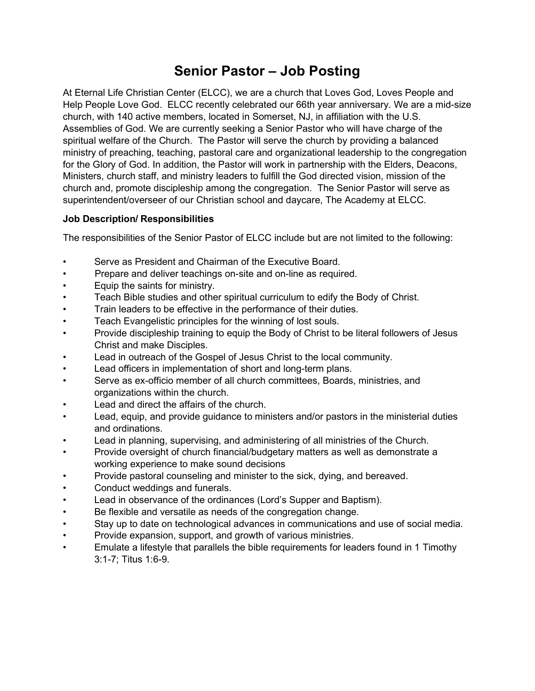# Senior Pastor – Job Posting

At Eternal Life Christian Center (ELCC), we are a church that Loves God, Loves People and Help People Love God. ELCC recently celebrated our 66th year anniversary. We are a mid-size church, with 140 active members, located in Somerset, NJ, in affiliation with the U.S. Assemblies of God. We are currently seeking a Senior Pastor who will have charge of the spiritual welfare of the Church. The Pastor will serve the church by providing a balanced ministry of preaching, teaching, pastoral care and organizational leadership to the congregation for the Glory of God. In addition, the Pastor will work in partnership with the Elders, Deacons, Ministers, church staff, and ministry leaders to fulfill the God directed vision, mission of the church and, promote discipleship among the congregation. The Senior Pastor will serve as superintendent/overseer of our Christian school and daycare, The Academy at ELCC.

### Job Description/ Responsibilities

The responsibilities of the Senior Pastor of ELCC include but are not limited to the following:

- Serve as President and Chairman of the Executive Board.
- Prepare and deliver teachings on-site and on-line as required.
- Equip the saints for ministry.
- Teach Bible studies and other spiritual curriculum to edify the Body of Christ.
- Train leaders to be effective in the performance of their duties.
- Teach Evangelistic principles for the winning of lost souls.
- Provide discipleship training to equip the Body of Christ to be literal followers of Jesus Christ and make Disciples.
- Lead in outreach of the Gospel of Jesus Christ to the local community.
- Lead officers in implementation of short and long-term plans.
- Serve as ex-officio member of all church committees, Boards, ministries, and organizations within the church.
- Lead and direct the affairs of the church.
- Lead, equip, and provide guidance to ministers and/or pastors in the ministerial duties and ordinations.
- Lead in planning, supervising, and administering of all ministries of the Church.
- Provide oversight of church financial/budgetary matters as well as demonstrate a working experience to make sound decisions
- Provide pastoral counseling and minister to the sick, dying, and bereaved.
- Conduct weddings and funerals.
- Lead in observance of the ordinances (Lord's Supper and Baptism).
- Be flexible and versatile as needs of the congregation change.
- Stay up to date on technological advances in communications and use of social media.
- Provide expansion, support, and growth of various ministries.
- Emulate a lifestyle that parallels the bible requirements for leaders found in 1 Timothy 3:1-7; Titus 1:6-9.